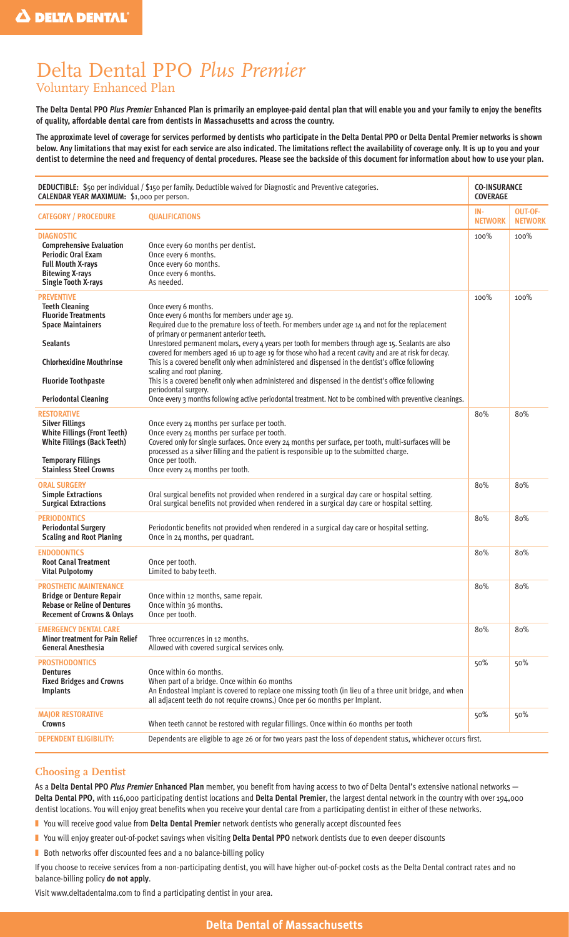# Delta Dental PPO *Plus Premier* Voluntary Enhanced Plan

**The Delta Dental PPO** *Plus Premier* **Enhanced Plan is primarily an employee-paid dental plan that will enable you and your family to enjoy the benefits of quality, affordable dental care from dentists in Massachusetts and across the country.**

**The approximate level of coverage for services performed by dentists who participate in the Delta Dental PPO or Delta Dental Premier networks is shown below. Any limitations that may exist for each service are also indicated. The limitations reflect the availability of coverage only. It is up to you and your dentist to determine the need and frequency of dental procedures. Please see the backside of this document for information about how to use your plan.**

| DEDUCTIBLE: \$50 per individual / \$150 per family. Deductible waived for Diagnostic and Preventive categories.<br>CALENDAR YEAR MAXIMUM: \$1,000 per person.                                                           |                                                                                                                                                                                                                                                                                                                                                                                                                                                                                                                                                                                                                                                                                                                                                                                                                | <b>CO-INSURANCE</b><br><b>COVERAGE</b> |                                  |
|-------------------------------------------------------------------------------------------------------------------------------------------------------------------------------------------------------------------------|----------------------------------------------------------------------------------------------------------------------------------------------------------------------------------------------------------------------------------------------------------------------------------------------------------------------------------------------------------------------------------------------------------------------------------------------------------------------------------------------------------------------------------------------------------------------------------------------------------------------------------------------------------------------------------------------------------------------------------------------------------------------------------------------------------------|----------------------------------------|----------------------------------|
| <b>CATEGORY / PROCEDURE</b>                                                                                                                                                                                             | <b>QUALIFICATIONS</b>                                                                                                                                                                                                                                                                                                                                                                                                                                                                                                                                                                                                                                                                                                                                                                                          | IN-<br><b>NETWORK</b>                  | <b>OUT-OF-</b><br><b>NETWORK</b> |
| <b>DIAGNOSTIC</b><br><b>Comprehensive Evaluation</b><br><b>Periodic Oral Exam</b><br><b>Full Mouth X-rays</b><br><b>Bitewing X-rays</b><br><b>Single Tooth X-rays</b>                                                   | Once every 60 months per dentist.<br>Once every 6 months.<br>Once every 60 months.<br>Once every 6 months.<br>As needed.                                                                                                                                                                                                                                                                                                                                                                                                                                                                                                                                                                                                                                                                                       | 100%                                   | 100%                             |
| <b>PREVENTIVE</b><br><b>Teeth Cleaning</b><br><b>Fluoride Treatments</b><br><b>Space Maintainers</b><br><b>Sealants</b><br><b>Chlorhexidine Mouthrinse</b><br><b>Fluoride Toothpaste</b><br><b>Periodontal Cleaning</b> | Once every 6 months.<br>Once every 6 months for members under age 19.<br>Required due to the premature loss of teeth. For members under age 14 and not for the replacement<br>of primary or permanent anterior teeth.<br>Unrestored permanent molars, every 4 years per tooth for members through age 15. Sealants are also<br>covered for members aged 16 up to age 19 for those who had a recent cavity and are at risk for decay.<br>This is a covered benefit only when administered and dispensed in the dentist's office following<br>scaling and root planing.<br>This is a covered benefit only when administered and dispensed in the dentist's office following<br>periodontal surgery.<br>Once every 3 months following active periodontal treatment. Not to be combined with preventive cleanings. | 100%                                   | 100%                             |
| RESTORATIVE<br><b>Silver Fillings</b><br><b>White Fillings (Front Teeth)</b><br><b>White Fillings (Back Teeth)</b><br><b>Temporary Fillings</b><br><b>Stainless Steel Crowns</b>                                        | Once every 24 months per surface per tooth.<br>Once every 24 months per surface per tooth.<br>Covered only for single surfaces. Once every 24 months per surface, per tooth, multi-surfaces will be<br>processed as a silver filling and the patient is responsible up to the submitted charge.<br>Once per tooth.<br>Once every 24 months per tooth.                                                                                                                                                                                                                                                                                                                                                                                                                                                          | 80%                                    | 80%                              |
| ORAL SURGERY<br><b>Simple Extractions</b><br><b>Surgical Extractions</b>                                                                                                                                                | Oral surgical benefits not provided when rendered in a surgical day care or hospital setting.<br>Oral surgical benefits not provided when rendered in a surgical day care or hospital setting.                                                                                                                                                                                                                                                                                                                                                                                                                                                                                                                                                                                                                 | 80%                                    | 80%                              |
| <b>PERIODONTICS</b><br><b>Periodontal Surgery</b><br><b>Scaling and Root Planing</b>                                                                                                                                    | Periodontic benefits not provided when rendered in a surgical day care or hospital setting.<br>Once in 24 months, per quadrant.                                                                                                                                                                                                                                                                                                                                                                                                                                                                                                                                                                                                                                                                                | 80%                                    | 80%                              |
| <b>ENDODONTICS</b><br><b>Root Canal Treatment</b><br><b>Vital Pulpotomy</b>                                                                                                                                             | Once per tooth.<br>Limited to baby teeth.                                                                                                                                                                                                                                                                                                                                                                                                                                                                                                                                                                                                                                                                                                                                                                      | 80%                                    | 80%                              |
| <b>PROSTHETIC MAINTENANCE</b><br><b>Bridge or Denture Repair</b><br><b>Rebase or Reline of Dentures</b><br><b>Recement of Crowns &amp; Onlays</b>                                                                       | Once within 12 months, same repair.<br>Once within 36 months.<br>Once per tooth.                                                                                                                                                                                                                                                                                                                                                                                                                                                                                                                                                                                                                                                                                                                               | 80%                                    | 80%                              |
| <b>EMERGENCY DENTAL CARE</b><br><b>Minor treatment for Pain Relief</b><br><b>General Anesthesia</b>                                                                                                                     | Three occurrences in 12 months.<br>Allowed with covered surgical services only.                                                                                                                                                                                                                                                                                                                                                                                                                                                                                                                                                                                                                                                                                                                                | 80%                                    | 80%                              |
| <b>PROSTHODONTICS</b><br><b>Dentures</b><br><b>Fixed Bridges and Crowns</b><br><b>Implants</b>                                                                                                                          | Once within 60 months.<br>When part of a bridge. Once within 60 months<br>An Endosteal Implant is covered to replace one missing tooth (in lieu of a three unit bridge, and when<br>all adjacent teeth do not require crowns.) Once per 60 months per Implant.                                                                                                                                                                                                                                                                                                                                                                                                                                                                                                                                                 | 50%                                    | 50%                              |
| <b>MAJOR RESTORATIVE</b><br><b>Crowns</b>                                                                                                                                                                               | When teeth cannot be restored with regular fillings. Once within 60 months per tooth                                                                                                                                                                                                                                                                                                                                                                                                                                                                                                                                                                                                                                                                                                                           | 50%                                    | 50%                              |
| <b>DEPENDENT ELIGIBILITY:</b>                                                                                                                                                                                           | Dependents are eligible to age 26 or for two years past the loss of dependent status, whichever occurs first.                                                                                                                                                                                                                                                                                                                                                                                                                                                                                                                                                                                                                                                                                                  |                                        |                                  |

## **Choosing a Dentist**

As a **Delta Dental PPO** *Plus Premier* **Enhanced Plan** member, you benefit from having access to two of Delta Dental's extensive national networks — **Delta Dental PPO**, with 116,000 participating dentist locations and **Delta Dental Premier**, the largest dental network in the country with over 194,000 dentist locations. You will enjoy great benefits when you receive your dental care from a participating dentist in either of these networks.

■ You will receive good value from **Delta Dental Premier** network dentists who generally accept discounted fees

- You will enjoy greater out-of-pocket savings when visiting Delta Dental PPO network dentists due to even deeper discounts
- Both networks offer discounted fees and a no balance-billing policy

If you choose to receive services from a non-participating dentist, you will have higher out-of-pocket costs as the Delta Dental contract rates and no balance-billing policy **do not apply**.

Visit www.deltadentalma.com to find a participating dentist in your area.